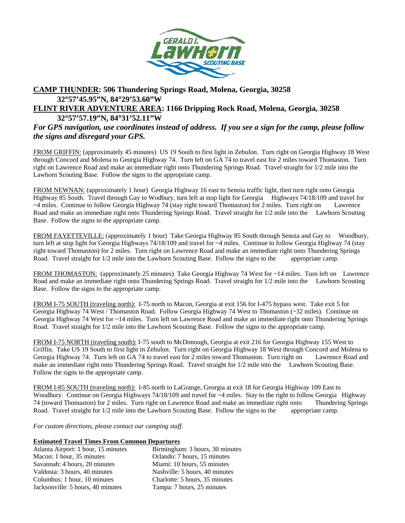

## **CAMP THUNDER: 506 Thundering Springs Road, Molena, Georgia, 30258 32**°**57'45.95"N, 84**°**29'53.60"W**

## **FLINT RIVER ADVENTURE AREA: 1166 Dripping Rock Road, Molena, Georgia, 30258 32**°**57'57.19"N, 84**°**31'52.11"W**

## *For GPS navigation, use coordinates instead of address. If you see a sign for the camp, please follow the signs and disregard your GPS.*

FROM GRIFFIN: (approximately 45 minutes) US 19 South to first light in Zebulon. Turn right on Georgia Highway 18 West through Concord and Molena to Georgia Highway 74. Turn left on GA 74 to travel east for 2 miles toward Thomaston. Turn right on Lawrence Road and make an immediate right onto Thundering Springs Road. Travel straight for 1/2 mile into the Lawhorn Scouting Base. Follow the signs to the appropriate camp.

FROM NEWNAN: (approximately 1 hour) Georgia Highway 16 east to Senoia traffic light, then turn right onto Georgia Highway 85 South. Travel through Gay to Wodbury, turn left at stop light for Georgia Highways 74/18/109 and travel for ~4 miles. Continue to follow Georgia Highway 74 (stay right toward Thomaston) for 2 miles. Turn right on Lawrence Road and make an immediate right onto Thundering Springs Road. Travel straight for 1/2 mile into the Lawhorn Scouting Base. Follow the signs to the appropriate camp.

FROM FAYETTEVILLE: (approximately 1 hour) Take Georgia Highway 85 South through Senoia and Gay to Woodbury, turn left at stop light for Georgia Highways 74/18/109 and travel for ~4 miles. Continue to follow Georgia Highway 74 (stay right toward Thomaston) for 2 miles. Turn right on Lawrence Road and make an immediate right onto Thundering Springs Road. Travel straight for 1/2 mile into the Lawhorn Scouting Base. Follow the signs to the appropriate camp.

FROM THOMASTON: (approximately 25 minutes) Take Georgia Highway 74 West for ~14 miles. Turn left on Lawrence Road and make an immediate right onto Thundering Springs Road. Travel straight for 1/2 mile into the Lawhorn Scouting Base. Follow the signs to the appropriate camp.

FROM I-75 SOUTH (traveling north): I-75 north to Macon, Georgia at exit 156 for I-475 bypass west. Take exit 5 for Georgia Highway 74 West / Thomaston Road. Follow Georgia Highway 74 West to Thomaston (~32 miles). Continue on Georgia Highway 74 West for ~14 miles. Turn left on Lawrence Road and make an immediate right onto Thundering Springs Road. Travel straight for 1/2 mile into the Lawhorn Scouting Base. Follow the signs to the appropriate camp.

FROM I-75 NORTH (traveling south): I-75 south to McDonough, Georgia at exit 216 for Georgia Highway 155 West to Griffin. Take US 19 South to first light in Zebulon. Turn right on Georgia Highway 18 West through Concord and Molena to Georgia Highway 74. Turn left on GA 74 to travel east for 2 miles toward Thomaston. Turn right on Lawrence Road and make an immediate right onto Thundering Springs Road. Travel straight for 1/2 mile into the Lawhorn Scouting Base. Follow the signs to the appropriate camp.

FROM I-85 SOUTH (traveling north): I-85 north to LaGrange, Georgia at exit 18 for Georgia Highway 109 East to Woodbury. Continue on Georgia Highways 74/18/109 and travel for ~4 miles. Stay to the right to follow Georgia Highway 74 (toward Thomaston) for 2 miles. Turn right on Lawrence Road and make an immediate right onto Thundering Springs Road. Travel straight for  $1/2$  mile into the Lawhorn Scouting Base. Follow the signs to the appropriate camp.

*For custom directions, please contact our camping staff.* 

## **Estimated Travel Times From Common Departures**

| Atlanta Airport: 1 hour, 15 minutes | Birmingham: 3 hours, 30 minutes |
|-------------------------------------|---------------------------------|
| Macon: 1 hour, 35 minutes           | Orlando: 7 hours, 15 minutes    |
| Savannah: 4 hours, 20 minutes       | Miami: 10 hours, 55 minutes     |
| Valdosta: 3 hours, 40 minutes       | Nashville: 5 hours, 40 minutes  |
| Columbus: 1 hour, 10 minutes        | Charlotte: 5 hours, 35 minutes  |
| Jacksonville: 5 hours, 40 minutes   | Tampa: 7 hours, 25 minutes      |